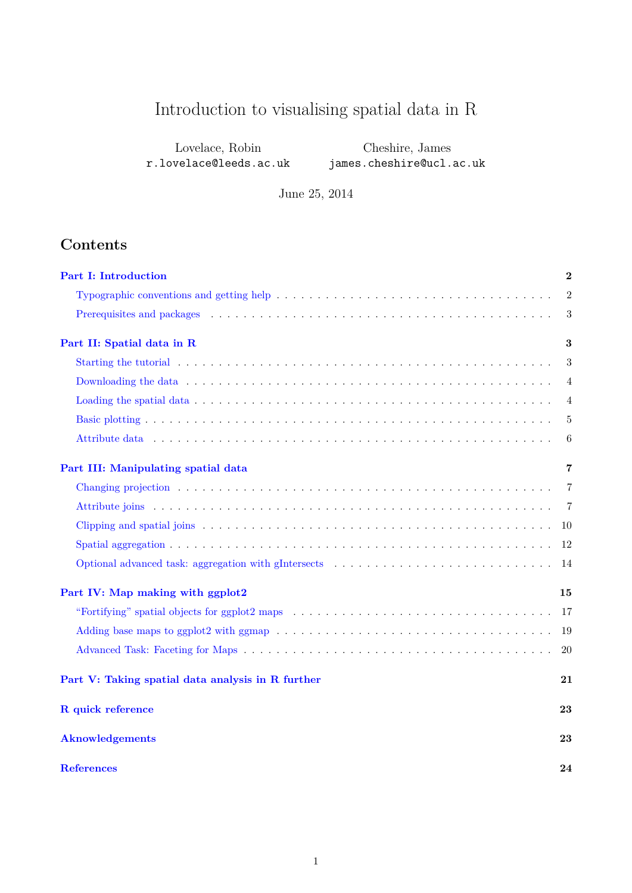# Introduction to visualising spatial data in R

| Lovelace, Robin        | Cheshire, James          |
|------------------------|--------------------------|
| r.lovelace@leeds.ac.uk | james.cheshire@ucl.ac.uk |

June 25, 2014

# **Contents**

| <b>Part I: Introduction</b>                                                                                                                                                                                                    | $\overline{2}$ |
|--------------------------------------------------------------------------------------------------------------------------------------------------------------------------------------------------------------------------------|----------------|
|                                                                                                                                                                                                                                | $\overline{2}$ |
|                                                                                                                                                                                                                                | $\sqrt{3}$     |
| Part II: Spatial data in R                                                                                                                                                                                                     | 3              |
| Starting the tutorial end is not consider that is no consideration of the starting the tutorial end of the starting term of the starting of the starting of the starting of the starting of the starting of the starting of th | 3              |
|                                                                                                                                                                                                                                | 4              |
|                                                                                                                                                                                                                                | $\overline{4}$ |
|                                                                                                                                                                                                                                | 5              |
|                                                                                                                                                                                                                                | 6              |
| Part III: Manipulating spatial data                                                                                                                                                                                            | 7              |
|                                                                                                                                                                                                                                | $\overline{7}$ |
|                                                                                                                                                                                                                                | -7             |
|                                                                                                                                                                                                                                | -10            |
|                                                                                                                                                                                                                                | -12            |
|                                                                                                                                                                                                                                |                |
| Part IV: Map making with ggplot2                                                                                                                                                                                               | 15             |
|                                                                                                                                                                                                                                | 17             |
|                                                                                                                                                                                                                                | -19            |
|                                                                                                                                                                                                                                | 20             |
| Part V: Taking spatial data analysis in R further                                                                                                                                                                              | 21             |
| R quick reference                                                                                                                                                                                                              | 23             |
| <b>Aknowledgements</b>                                                                                                                                                                                                         | 23             |
| <b>References</b>                                                                                                                                                                                                              | 24             |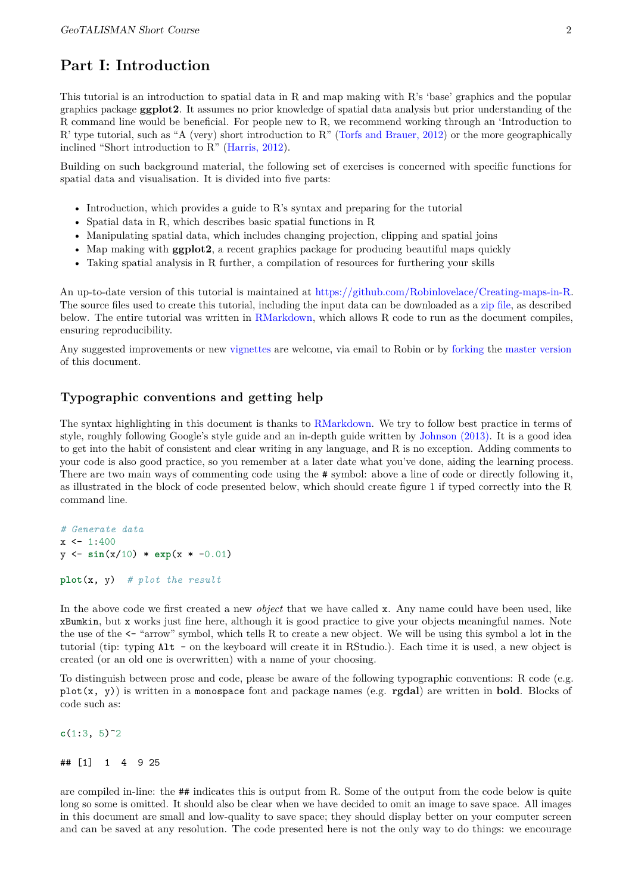# **Part I: Introduction**

<span id="page-1-0"></span>This tutorial is an introduction to spatial data in R and map making with R's 'base' graphics and the popular graphics package **ggplot2**. It assumes no prior knowledge of spatial data analysis but prior understanding of the R command line would be beneficial. For people new to R, we recommend working through an 'Introduction to R' type tutorial, such as "A (very) short introduction to R" [\(Torfs and Brauer, 2012\)](http://cran.r-project.org/doc/contrib/Torfs+Brauer-Short-R-Intro.pdf) or the more geographically inclined "Short introduction to R" [\(Harris, 2012\)](http://www.social-statistics.org/wp-content/uploads/2012/12/intro_to_R1.pdf).

Building on such background material, the following set of exercises is concerned with specific functions for spatial data and visualisation. It is divided into five parts:

- Introduction, which provides a guide to R's syntax and preparing for the tutorial
- Spatial data in R, which describes basic spatial functions in R
- Manipulating spatial data, which includes changing projection, clipping and spatial joins
- Map making with **ggplot2**, a recent graphics package for producing beautiful maps quickly
- Taking spatial analysis in R further, a compilation of resources for furthering your skills

An up-to-date version of this tutorial is maintained at [https://github.com/Robinlovelace/Creating-maps-in-R.](https://github.com/Robinlovelace/Creating-maps-in-R/blob/master/intro-spatial-rl.pdf) The source files used to create this tutorial, including the input data can be downloaded as a [zip file,](https://github.com/Robinlovelace/Creating-maps-in-R/archive/master.zip) as described below. The entire tutorial was written in [RMarkdown,](http://rmarkdown.rstudio.com/) which allows R code to run as the document compiles, ensuring reproducibility.

Any suggested improvements or new [vignettes](https://github.com/Robinlovelace/Creating-maps-in-R/tree/master/vignettes) are welcome, via email to Robin or by [forking](https://help.github.com/articles/fork-a-repo) the [master version](https://github.com/Robinlovelace/Creating-maps-in-R/blob/master/intro-spatial.Rmd) of this document.

### **Typographic conventions and getting help**

<span id="page-1-1"></span>The syntax highlighting in this document is thanks to [RMarkdown.](http://rmarkdown.rstudio.com/) We try to follow best practice in terms of style, roughly following Google's style guide and an in-depth guide written by [Johnson \(2013\).](http://cran.r-project.org/web/packages/rockchalk/vignettes/Rstyle.pdf) It is a good idea to get into the habit of consistent and clear writing in any language, and R is no exception. Adding comments to your code is also good practice, so you remember at a later date what you've done, aiding the learning process. There are two main ways of commenting code using the # symbol: above a line of code or directly following it, as illustrated in the block of code presented below, which should create figure 1 if typed correctly into the R command line.

```
# Generate data
x \le -1:400y <- sin(x/10) * exp(x * -0.01)
```

```
plot(x, y) # plot the result
```
In the above code we first created a new *object* that we have called x. Any name could have been used, like xBumkin, but x works just fine here, although it is good practice to give your objects meaningful names. Note the use of the <- "arrow" symbol, which tells R to create a new object. We will be using this symbol a lot in the tutorial (tip: typing Alt - on the keyboard will create it in RStudio.). Each time it is used, a new object is created (or an old one is overwritten) with a name of your choosing.

To distinguish between prose and code, please be aware of the following typographic conventions: R code (e.g. plot(x, y)) is written in a monospace font and package names (e.g. **rgdal**) are written in **bold**. Blocks of code such as:

 $c(1:3, 5)^2$ 

#### ## [1] 1 4 9 25

are compiled in-line: the ## indicates this is output from R. Some of the output from the code below is quite long so some is omitted. It should also be clear when we have decided to omit an image to save space. All images in this document are small and low-quality to save space; they should display better on your computer screen and can be saved at any resolution. The code presented here is not the only way to do things: we encourage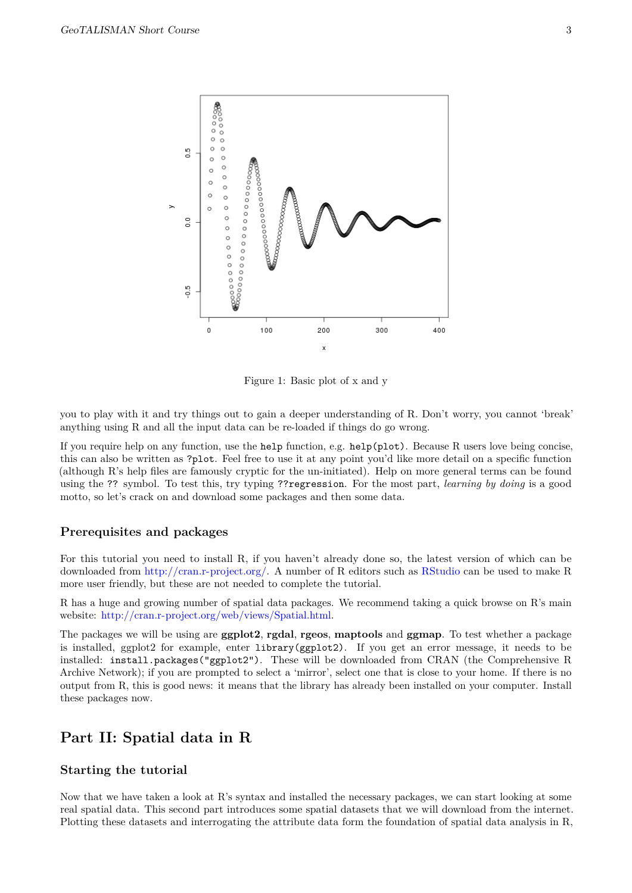

Figure 1: Basic plot of x and y

you to play with it and try things out to gain a deeper understanding of R. Don't worry, you cannot 'break' anything using R and all the input data can be re-loaded if things do go wrong.

If you require help on any function, use the help function, e.g. help(plot). Because R users love being concise, this can also be written as ?plot. Feel free to use it at any point you'd like more detail on a specific function (although R's help files are famously cryptic for the un-initiated). Help on more general terms can be found using the ?? symbol. To test this, try typing ??regression. For the most part, *learning by doing* is a good motto, so let's crack on and download some packages and then some data.

#### **Prerequisites and packages**

<span id="page-2-0"></span>For this tutorial you need to install R, if you haven't already done so, the latest version of which can be downloaded from [http://cran.r-project.org/.](http://cran.r-project.org/) A number of R editors such as [RStudio](http://www.rstudio.com/) can be used to make R more user friendly, but these are not needed to complete the tutorial.

R has a huge and growing number of spatial data packages. We recommend taking a quick browse on R's main website: [http://cran.r-project.org/web/views/Spatial.html.](http://cran.r-project.org/web/views/Spatial.html)

The packages we will be using are **ggplot2**, **rgdal**, **rgeos**, **maptools** and **ggmap**. To test whether a package is installed, ggplot2 for example, enter library(ggplot2). If you get an error message, it needs to be installed: install.packages("ggplot2"). These will be downloaded from CRAN (the Comprehensive R Archive Network); if you are prompted to select a 'mirror', select one that is close to your home. If there is no output from R, this is good news: it means that the library has already been installed on your computer. Install these packages now.

## **Part II: Spatial data in R**

#### <span id="page-2-1"></span>**Starting the tutorial**

<span id="page-2-2"></span>Now that we have taken a look at R's syntax and installed the necessary packages, we can start looking at some real spatial data. This second part introduces some spatial datasets that we will download from the internet. Plotting these datasets and interrogating the attribute data form the foundation of spatial data analysis in R,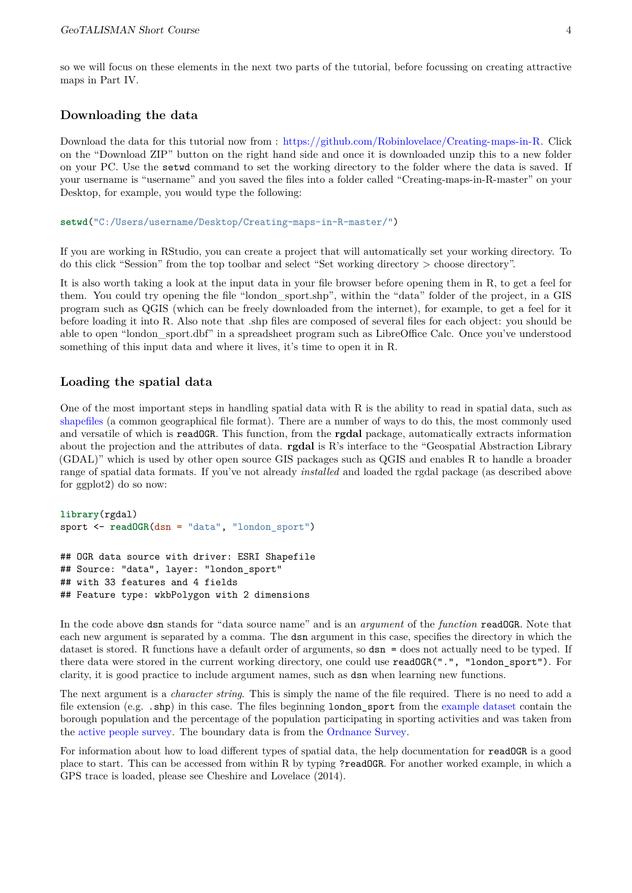so we will focus on these elements in the next two parts of the tutorial, before focussing on creating attractive maps in Part IV.

## **Downloading the data**

<span id="page-3-0"></span>Download the data for this tutorial now from : [https://github.com/Robinlovelace/Creating-maps-in-R.](https://github.com/Robinlovelace/Creating-maps-in-R) Click on the "Download ZIP" button on the right hand side and once it is downloaded unzip this to a new folder on your PC. Use the setwd command to set the working directory to the folder where the data is saved. If your username is "username" and you saved the files into a folder called "Creating-maps-in-R-master" on your Desktop, for example, you would type the following:

**setwd**("C:/Users/username/Desktop/Creating-maps-in-R-master/")

If you are working in RStudio, you can create a project that will automatically set your working directory. To do this click "Session" from the top toolbar and select "Set working directory > choose directory".

It is also worth taking a look at the input data in your file browser before opening them in R, to get a feel for them. You could try opening the file "london\_sport.shp", within the "data" folder of the project, in a GIS program such as QGIS (which can be freely downloaded from the internet), for example, to get a feel for it before loading it into R. Also note that .shp files are composed of several files for each object: you should be able to open "london\_sport.dbf" in a spreadsheet program such as LibreOffice Calc. Once you've understood something of this input data and where it lives, it's time to open it in R.

#### **Loading the spatial data**

<span id="page-3-1"></span>One of the most important steps in handling spatial data with R is the ability to read in spatial data, such as [shapefiles](http://en.wikipedia.org/wiki/Shapefile) (a common geographical file format). There are a number of ways to do this, the most commonly used and versatile of which is readOGR. This function, from the **rgdal** package, automatically extracts information about the projection and the attributes of data. **rgdal** is R's interface to the "Geospatial Abstraction Library (GDAL)" which is used by other open source GIS packages such as QGIS and enables R to handle a broader range of spatial data formats. If you've not already *installed* and loaded the rgdal package (as described above for ggplot2) do so now:

```
library(rgdal)
sport <- readOGR(dsn = "data", "london_sport")
```

```
## OGR data source with driver: ESRI Shapefile
## Source: "data", layer: "london_sport"
## with 33 features and 4 fields
## Feature type: wkbPolygon with 2 dimensions
```
In the code above dsn stands for "data source name" and is an *argument* of the *function* readOGR. Note that each new argument is separated by a comma. The dsn argument in this case, specifies the directory in which the dataset is stored. R functions have a default order of arguments, so dsn = does not actually need to be typed. If there data were stored in the current working directory, one could use readOGR(".", "london\_sport"). For clarity, it is good practice to include argument names, such as dsn when learning new functions.

The next argument is a *character string*. This is simply the name of the file required. There is no need to add a file extension (e.g. .shp) in this case. The files beginning london\_sport from the [example dataset](http://spatial.ly/wp-content/uploads/2013/12/spatialggplot.zip) contain the borough population and the percentage of the population participating in sporting activities and was taken from the [active people survey.](http://data.london.gov.uk/datastore/package/active-people-survey-kpi-data-borough) The boundary data is from the [Ordnance Survey.](http://www.ordnancesurvey.co.uk/oswebsite/opendata/)

For information about how to load different types of spatial data, the help documentation for readOGR is a good place to start. This can be accessed from within R by typing ?readOGR. For another worked example, in which a GPS trace is loaded, please see Cheshire and Lovelace (2014).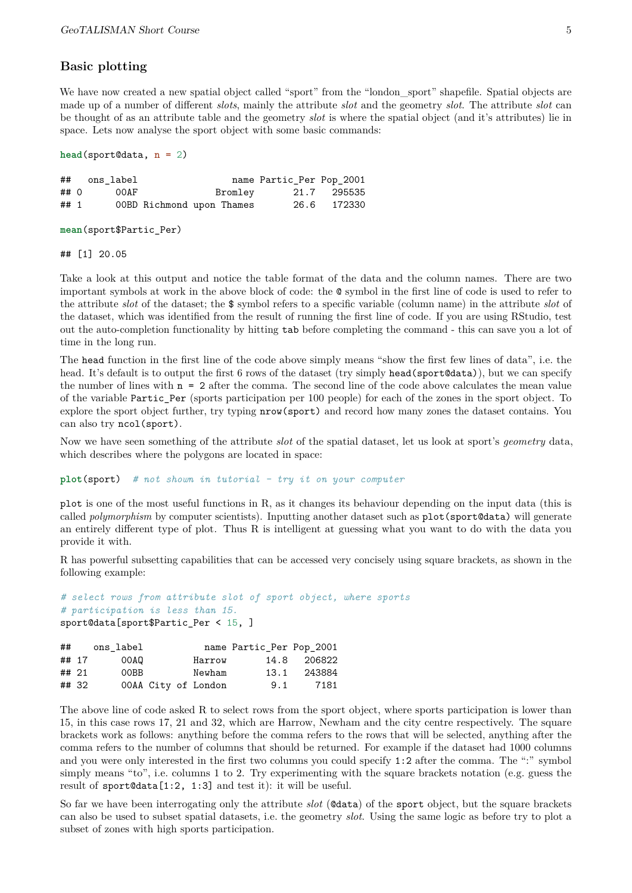### **Basic plotting**

<span id="page-4-0"></span>We have now created a new spatial object called "sport" from the "london sport" shapefile. Spatial objects are made up of a number of different *slots*, mainly the attribute *slot* and the geometry *slot*. The attribute *slot* can be thought of as an attribute table and the geometry *slot* is where the spatial object (and it's attributes) lie in space. Lets now analyse the sport object with some basic commands:

```
head(sport@data, n = 2)
```

|      | ## ons label |                           |         | name Partic Per Pop 2001 |             |
|------|--------------|---------------------------|---------|--------------------------|-------------|
| ## 0 | OOAF         |                           | Bromley |                          | 21.7 295535 |
| ## 1 |              | 00BD Richmond upon Thames |         |                          | 26.6 172330 |

**mean**(sport\$Partic\_Per)

## [1] 20.05

Take a look at this output and notice the table format of the data and the column names. There are two important symbols at work in the above block of code: the @ symbol in the first line of code is used to refer to the attribute *slot* of the dataset; the \$ symbol refers to a specific variable (column name) in the attribute *slot* of the dataset, which was identified from the result of running the first line of code. If you are using RStudio, test out the auto-completion functionality by hitting tab before completing the command - this can save you a lot of time in the long run.

The head function in the first line of the code above simply means "show the first few lines of data", i.e. the head. It's default is to output the first 6 rows of the dataset (try simply head(sport@data)), but we can specify the number of lines with  $n = 2$  after the comma. The second line of the code above calculates the mean value of the variable Partic\_Per (sports participation per 100 people) for each of the zones in the sport object. To explore the sport object further, try typing nrow(sport) and record how many zones the dataset contains. You can also try ncol(sport).

Now we have seen something of the attribute *slot* of the spatial dataset, let us look at sport's *geometry* data, which describes where the polygons are located in space:

**plot**(sport) *# not shown in tutorial - try it on your computer*

plot is one of the most useful functions in R, as it changes its behaviour depending on the input data (this is called *polymorphism* by computer scientists). Inputting another dataset such as plot(sport@data) will generate an entirely different type of plot. Thus R is intelligent at guessing what you want to do with the data you provide it with.

R has powerful subsetting capabilities that can be accessed very concisely using square brackets, as shown in the following example:

```
# select rows from attribute slot of sport object, where sports
# participation is less than 15.
sport@data[sport$Partic_Per < 15, ]
```

|       |       | ## ons label |  |                     | name Partic_Per Pop_2001 |             |
|-------|-------|--------------|--|---------------------|--------------------------|-------------|
|       | ## 17 | OOAQ         |  | Harrow              |                          | 14.8 206822 |
| ## 21 |       | 00BB         |  | Newham              |                          | 13.1 243884 |
|       | ## 32 |              |  | 00AA City of London | 9.1                      | 7181        |

The above line of code asked R to select rows from the sport object, where sports participation is lower than 15, in this case rows 17, 21 and 32, which are Harrow, Newham and the city centre respectively. The square brackets work as follows: anything before the comma refers to the rows that will be selected, anything after the comma refers to the number of columns that should be returned. For example if the dataset had 1000 columns and you were only interested in the first two columns you could specify 1:2 after the comma. The ":" symbol simply means "to", i.e. columns 1 to 2. Try experimenting with the square brackets notation (e.g. guess the result of sport@data[1:2, 1:3] and test it): it will be useful.

So far we have been interrogating only the attribute *slot* (@data) of the sport object, but the square brackets can also be used to subset spatial datasets, i.e. the geometry *slot*. Using the same logic as before try to plot a subset of zones with high sports participation.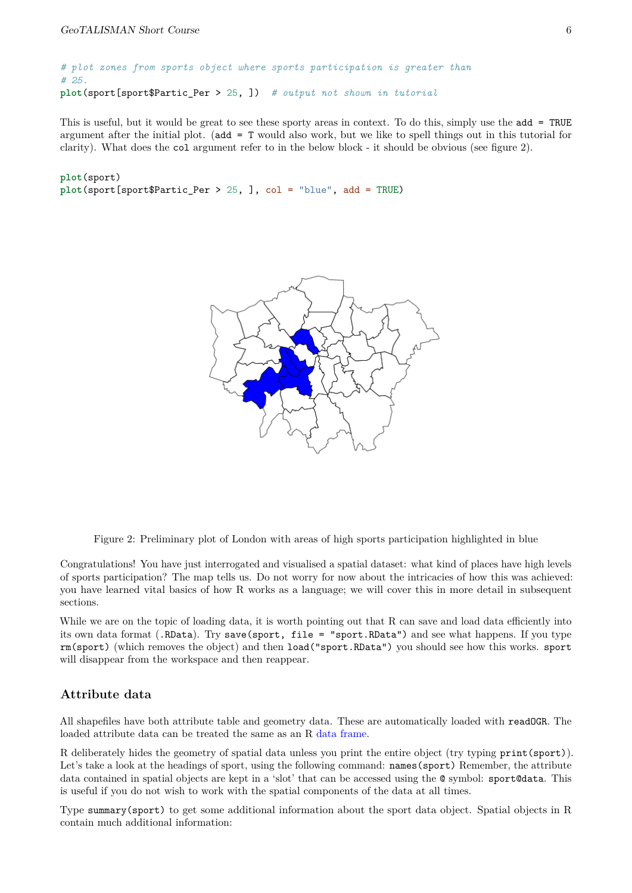*# plot zones from sports object where sports participation is greater than # 25.* **plot**(sport[sport\$Partic\_Per > 25, ]) *# output not shown in tutorial*

This is useful, but it would be great to see these sporty areas in context. To do this, simply use the add = TRUE argument after the initial plot. (add = T would also work, but we like to spell things out in this tutorial for clarity). What does the col argument refer to in the below block - it should be obvious (see figure 2).

#### **plot**(sport) **plot**(sport[sport\$Partic\_Per > 25, ], col = "blue", add = TRUE)



Figure 2: Preliminary plot of London with areas of high sports participation highlighted in blue

Congratulations! You have just interrogated and visualised a spatial dataset: what kind of places have high levels of sports participation? The map tells us. Do not worry for now about the intricacies of how this was achieved: you have learned vital basics of how R works as a language; we will cover this in more detail in subsequent sections.

While we are on the topic of loading data, it is worth pointing out that R can save and load data efficiently into its own data format (.RData). Try save(sport, file = "sport.RData") and see what happens. If you type rm(sport) (which removes the object) and then load("sport.RData") you should see how this works. sport will disappear from the workspace and then reappear.

## **Attribute data**

<span id="page-5-0"></span>All shapefiles have both attribute table and geometry data. These are automatically loaded with readOGR. The loaded attribute data can be treated the same as an R [data frame.](http://www.statmethods.net/input/datatypes.html)

R deliberately hides the geometry of spatial data unless you print the entire object (try typing print(sport)). Let's take a look at the headings of sport, using the following command: names (sport) Remember, the attribute data contained in spatial objects are kept in a 'slot' that can be accessed using the  $@$  symbol: sport@data. This is useful if you do not wish to work with the spatial components of the data at all times.

Type summary(sport) to get some additional information about the sport data object. Spatial objects in R contain much additional information: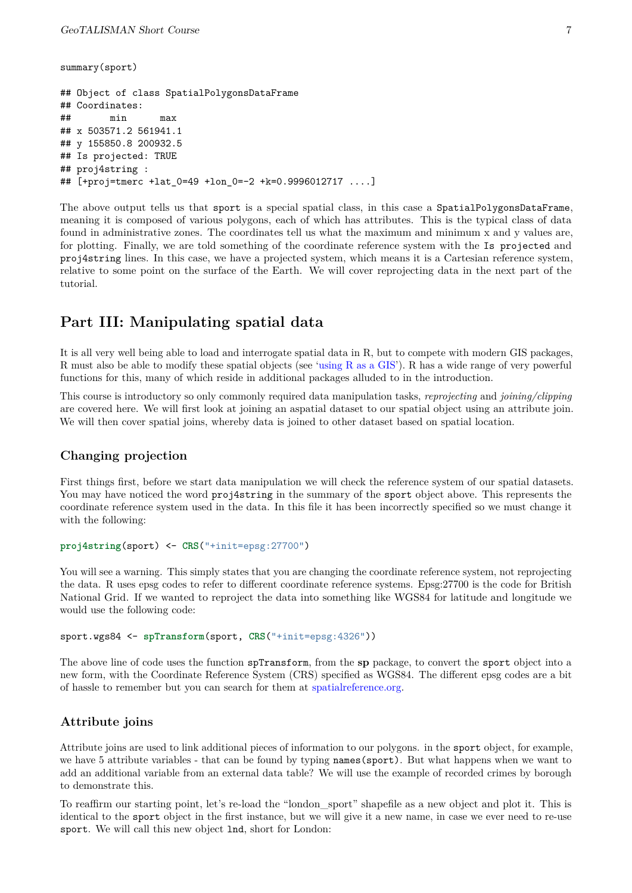```
summary(sport)
## Object of class SpatialPolygonsDataFrame
## Coordinates:
## min max
## x 503571.2 561941.1
## y 155850.8 200932.5
## Is projected: TRUE
## proj4string :
## [+proj=tmerc +lat 0=49 +lon 0=-2 +k=0.9996012717 ....]
```
The above output tells us that sport is a special spatial class, in this case a SpatialPolygonsDataFrame, meaning it is composed of various polygons, each of which has attributes. This is the typical class of data found in administrative zones. The coordinates tell us what the maximum and minimum x and y values are, for plotting. Finally, we are told something of the coordinate reference system with the Is projected and proj4string lines. In this case, we have a projected system, which means it is a Cartesian reference system, relative to some point on the surface of the Earth. We will cover reprojecting data in the next part of the tutorial.

# **Part III: Manipulating spatial data**

<span id="page-6-0"></span>It is all very well being able to load and interrogate spatial data in R, but to compete with modern GIS packages, R must also be able to modify these spatial objects (see ['using R as a GIS'](https://github.com/Pakillo/R-GIS-tutorial)). R has a wide range of very powerful functions for this, many of which reside in additional packages alluded to in the introduction.

This course is introductory so only commonly required data manipulation tasks, *reprojecting* and *joining/clipping* are covered here. We will first look at joining an aspatial dataset to our spatial object using an attribute join. We will then cover spatial joins, whereby data is joined to other dataset based on spatial location.

## **Changing projection**

<span id="page-6-1"></span>First things first, before we start data manipulation we will check the reference system of our spatial datasets. You may have noticed the word proj4string in the summary of the sport object above. This represents the coordinate reference system used in the data. In this file it has been incorrectly specified so we must change it with the following:

```
proj4string(sport) <- CRS("+init=epsg:27700")
```
You will see a warning. This simply states that you are changing the coordinate reference system, not reprojecting the data. R uses epsg codes to refer to different coordinate reference systems. Epsg:27700 is the code for British National Grid. If we wanted to reproject the data into something like WGS84 for latitude and longitude we would use the following code:

```
sport.wgs84 <- spTransform(sport, CRS("+init=epsg:4326"))
```
The above line of code uses the function spTransform, from the **sp** package, to convert the sport object into a new form, with the Coordinate Reference System (CRS) specified as WGS84. The different epsg codes are a bit of hassle to remember but you can search for them at [spatialreference.org.](http://spatialreference.org/)

## **Attribute joins**

<span id="page-6-2"></span>Attribute joins are used to link additional pieces of information to our polygons. in the sport object, for example, we have 5 attribute variables - that can be found by typing names(sport). But what happens when we want to add an additional variable from an external data table? We will use the example of recorded crimes by borough to demonstrate this.

To reaffirm our starting point, let's re-load the "london\_sport" shapefile as a new object and plot it. This is identical to the sport object in the first instance, but we will give it a new name, in case we ever need to re-use sport. We will call this new object lnd, short for London: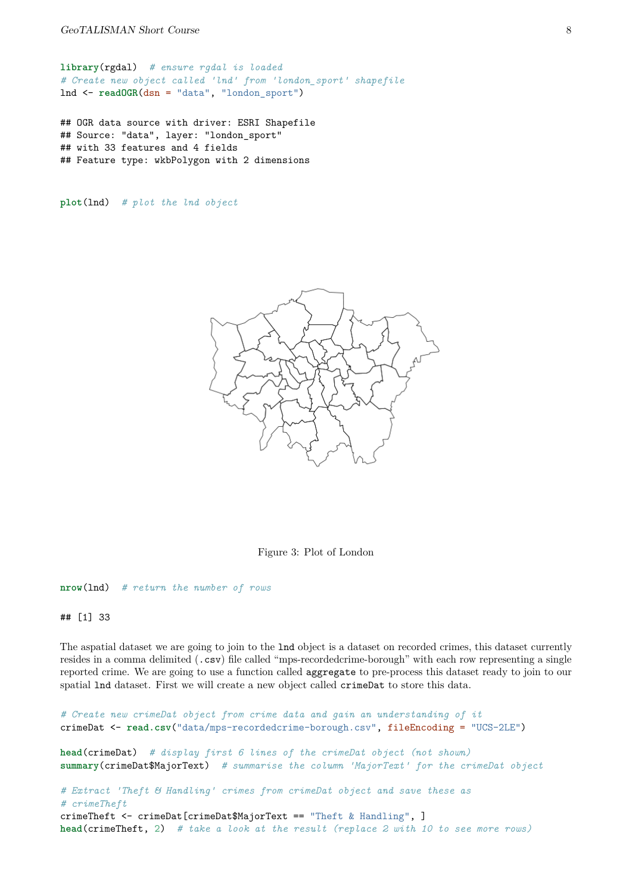**library**(rgdal) *# ensure rgdal is loaded # Create new object called 'lnd' from 'london\_sport' shapefile* lnd <- **readOGR**(dsn = "data", "london\_sport")

## OGR data source with driver: ESRI Shapefile ## Source: "data", layer: "london\_sport" ## with 33 features and 4 fields ## Feature type: wkbPolygon with 2 dimensions

**plot**(lnd) *# plot the lnd object*



Figure 3: Plot of London

**nrow**(lnd) *# return the number of rows*

## [1] 33

The aspatial dataset we are going to join to the lnd object is a dataset on recorded crimes, this dataset currently resides in a comma delimited (.csv) file called "mps-recordedcrime-borough" with each row representing a single reported crime. We are going to use a function called aggregate to pre-process this dataset ready to join to our spatial lnd dataset. First we will create a new object called crimeDat to store this data.

```
# Create new crimeDat object from crime data and gain an understanding of it
crimeDat <- read.csv("data/mps-recordedcrime-borough.csv", fileEncoding = "UCS-2LE")
head(crimeDat) # display first 6 lines of the crimeDat object (not shown)
summary(crimeDat$MajorText) # summarise the column 'MajorText' for the crimeDat object
# Extract 'Theft & Handling' crimes from crimeDat object and save these as
# crimeTheft
crimeTheft <- crimeDat[crimeDat$MajorText == "Theft & Handling", ]
head(crimeTheft, 2) # take a look at the result (replace 2 with 10 to see more rows)
```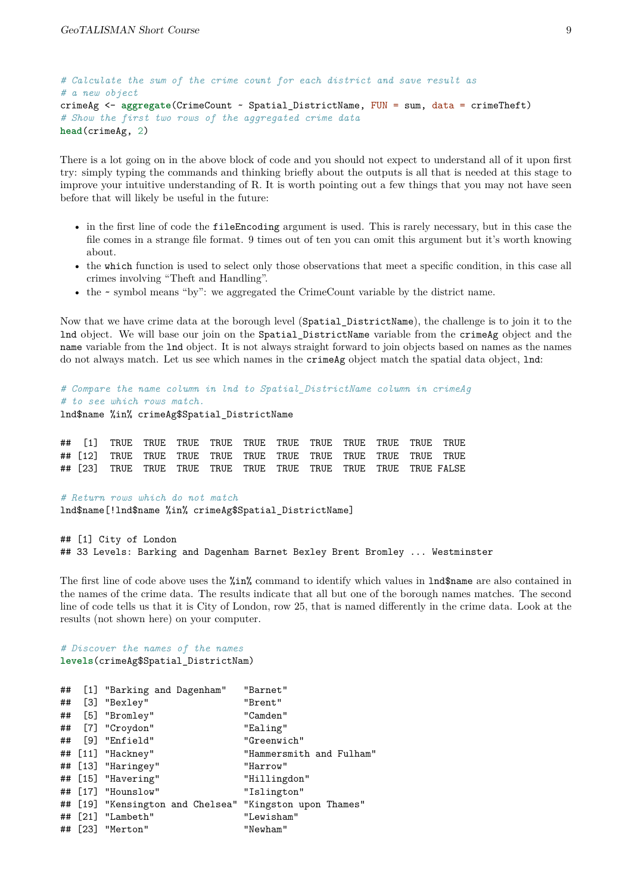```
# Calculate the sum of the crime count for each district and save result as
# a new object
crimeAg <- aggregate(CrimeCount ~ Spatial_DistrictName, FUN = sum, data = crimeTheft)
# Show the first two rows of the aggregated crime data
head(crimeAg, 2)
```
There is a lot going on in the above block of code and you should not expect to understand all of it upon first try: simply typing the commands and thinking briefly about the outputs is all that is needed at this stage to improve your intuitive understanding of R. It is worth pointing out a few things that you may not have seen before that will likely be useful in the future:

- in the first line of code the fileEncoding argument is used. This is rarely necessary, but in this case the file comes in a strange file format. 9 times out of ten you can omit this argument but it's worth knowing about.
- the which function is used to select only those observations that meet a specific condition, in this case all crimes involving "Theft and Handling".
- the ~ symbol means "by": we aggregated the CrimeCount variable by the district name.

Now that we have crime data at the borough level (Spatial\_DistrictName), the challenge is to join it to the lnd object. We will base our join on the Spatial\_DistrictName variable from the crimeAg object and the name variable from the lnd object. It is not always straight forward to join objects based on names as the names do not always match. Let us see which names in the **crimeAg** object match the spatial data object, lnd:

*# Compare the name column in lnd to Spatial\_DistrictName column in crimeAg # to see which rows match.* lnd\$name %in% crimeAg\$Spatial\_DistrictName

*# Return rows which do not match* lnd\$name[!lnd\$name %in% crimeAg\$Spatial\_DistrictName]

## [1] City of London ## 33 Levels: Barking and Dagenham Barnet Bexley Brent Bromley ... Westminster

The first line of code above uses the %in% command to identify which values in lnd\$name are also contained in the names of the crime data. The results indicate that all but one of the borough names matches. The second line of code tells us that it is City of London, row 25, that is named differently in the crime data. Look at the results (not shown here) on your computer.

#### *# Discover the names of the names* **levels**(crimeAg\$Spatial\_DistrictNam)

| ## | [1] "Barking and Dagenham"                              | "Barnet"                 |
|----|---------------------------------------------------------|--------------------------|
|    | ## [3] "Bexley"                                         | "Brent"                  |
|    | ## [5] "Bromley"                                        | "Camden"                 |
|    | ## [7] "Croydon"                                        | "Ealing"                 |
|    | ## [9] "Enfield"                                        | "Greenwich"              |
|    | ## [11] "Hackney"                                       | "Hammersmith and Fulham" |
|    | ## [13] "Haringey"                                      | "Harrow"                 |
|    | ## [15] "Havering"                                      | "Hillingdon"             |
|    | ## [17] "Hounslow"                                      | "Islington"              |
|    | ## [19] "Kensington and Chelsea" "Kingston upon Thames" |                          |
|    | ## [21] "Lambeth"                                       | "Lewisham"               |
|    | ## [23] "Merton"                                        | "Newham"                 |
|    |                                                         |                          |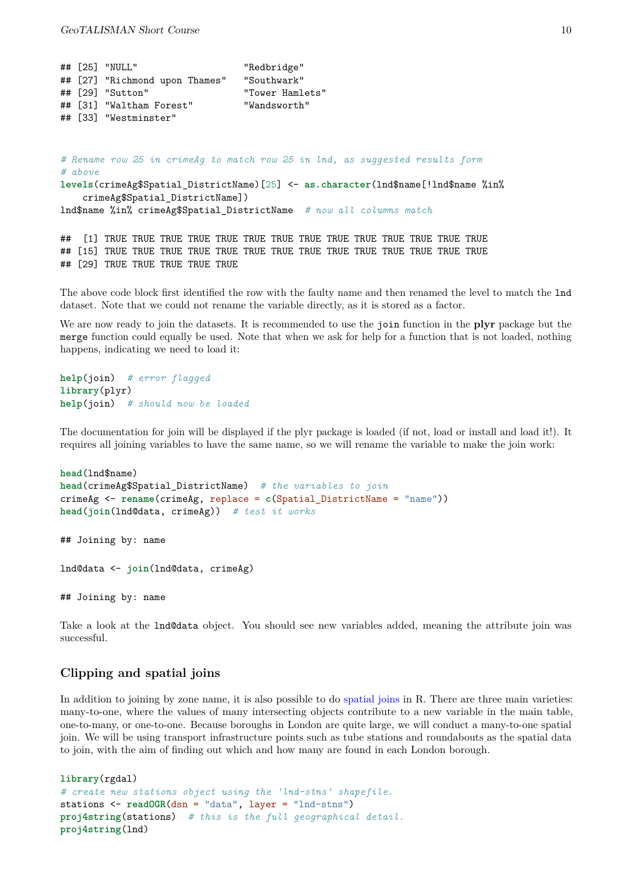|  | ## [25] "NULL"                 | "Redbridge"     |
|--|--------------------------------|-----------------|
|  | ## [27] "Richmond upon Thames" | "Southwark"     |
|  | $\#$ # [29] "Sutton"           | "Tower Hamlets" |
|  | ## [31] "Waltham Forest"       | "Wandsworth"    |
|  | ## [33] "Westminster"          |                 |

*# Rename row 25 in crimeAg to match row 25 in lnd, as suggested results form # above* **levels**(crimeAg\$Spatial\_DistrictName)[25] <- **as.character**(lnd\$name[!lnd\$name %in% crimeAg\$Spatial DistrictName]) lnd\$name %in% crimeAg\$Spatial\_DistrictName *# now all columns match*

## [1] TRUE TRUE TRUE TRUE TRUE TRUE TRUE TRUE TRUE TRUE TRUE TRUE TRUE TRUE ## [15] TRUE TRUE TRUE TRUE TRUE TRUE TRUE TRUE TRUE TRUE TRUE TRUE TRUE TRUE ## [29] TRUE TRUE TRUE TRUE TRUE

The above code block first identified the row with the faulty name and then renamed the level to match the lnd dataset. Note that we could not rename the variable directly, as it is stored as a factor.

We are now ready to join the datasets. It is recommended to use the join function in the **plyr** package but the merge function could equally be used. Note that when we ask for help for a function that is not loaded, nothing happens, indicating we need to load it:

```
help(join) # error flagged
library(plyr)
help(join) # should now be loaded
```
The documentation for join will be displayed if the plyr package is loaded (if not, load or install and load it!). It requires all joining variables to have the same name, so we will rename the variable to make the join work:

```
head(lnd$name)
head(crimeAg$Spatial_DistrictName) # the variables to join
crimeAg <- rename(crimeAg, replace = c(Spatial_DistrictName = "name"))
head(join(lnd@data, crimeAg)) # test it works
## Joining by: name
lnd@data <- join(lnd@data, crimeAg)
```
## Joining by: name

Take a look at the lnd@data object. You should see new variables added, meaning the attribute join was successful.

## **Clipping and spatial joins**

<span id="page-9-0"></span>In addition to joining by zone name, it is also possible to do [spatial joins](http://help.arcgis.com/en/arcgisdesktop/10.0/help/index.html#//00080000000q000000) in R. There are three main varieties: many-to-one, where the values of many intersecting objects contribute to a new variable in the main table, one-to-many, or one-to-one. Because boroughs in London are quite large, we will conduct a many-to-one spatial join. We will be using transport infrastructure points such as tube stations and roundabouts as the spatial data to join, with the aim of finding out which and how many are found in each London borough.

```
library(rgdal)
# create new stations object using the 'lnd-stns' shapefile.
stations <- readOGR(dsn = "data", layer = "lnd-stns")
proj4string(stations) # this is the full geographical detail.
proj4string(lnd)
```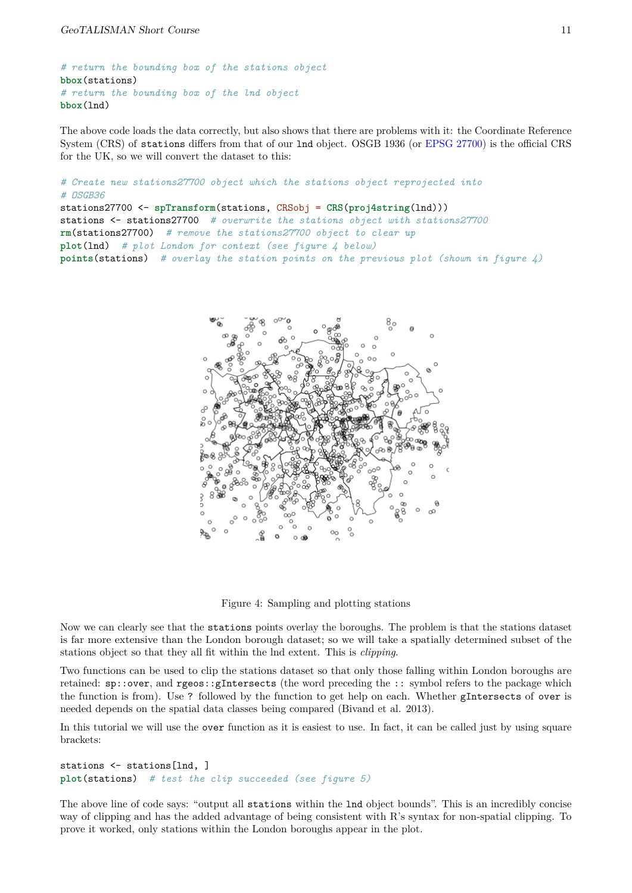```
# return the bounding box of the stations object
bbox(stations)
# return the bounding box of the lnd object
bbox(lnd)
```
The above code loads the data correctly, but also shows that there are problems with it: the Coordinate Reference System (CRS) of stations differs from that of our lnd object. OSGB 1936 (or [EPSG 27700\)](http://spatialreference.org/ref/epsg/27700/) is the official CRS for the UK, so we will convert the dataset to this:

```
# Create new stations27700 object which the stations object reprojected into
# OSGB36
stations27700 <- spTransform(stations, CRSobj = CRS(proj4string(lnd)))
stations <- stations27700 # overwrite the stations object with stations27700
rm(stations27700) # remove the stations27700 object to clear up
plot(lnd) # plot London for context (see figure 4 below)
points(stations) # overlay the station points on the previous plot (shown in figure 4)
```


Figure 4: Sampling and plotting stations

Now we can clearly see that the stations points overlay the boroughs. The problem is that the stations dataset is far more extensive than the London borough dataset; so we will take a spatially determined subset of the stations object so that they all fit within the lnd extent. This is *clipping*.

Two functions can be used to clip the stations dataset so that only those falling within London boroughs are retained: sp::over, and rgeos::gIntersects (the word preceding the :: symbol refers to the package which the function is from). Use ? followed by the function to get help on each. Whether gIntersects of over is needed depends on the spatial data classes being compared (Bivand et al. 2013).

In this tutorial we will use the over function as it is easiest to use. In fact, it can be called just by using square brackets:

```
stations <- stations[lnd, ]
plot(stations) # test the clip succeeded (see figure 5)
```
The above line of code says: "output all stations within the lnd object bounds". This is an incredibly concise way of clipping and has the added advantage of being consistent with R's syntax for non-spatial clipping. To prove it worked, only stations within the London boroughs appear in the plot.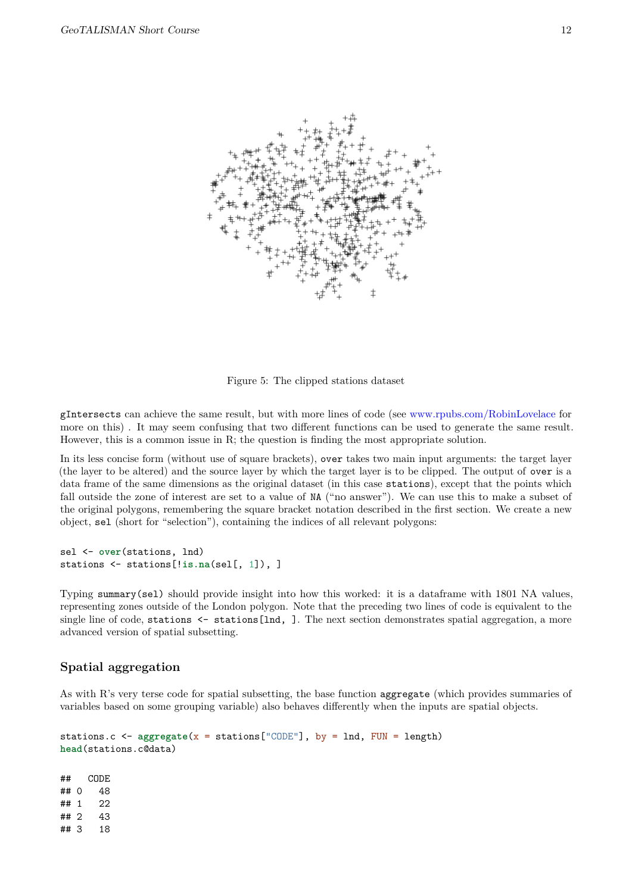

Figure 5: The clipped stations dataset

gIntersects can achieve the same result, but with more lines of code (see [www.rpubs.com/RobinLovelace](http://www.rpubs.com/RobinLovelace/11796) for more on this) . It may seem confusing that two different functions can be used to generate the same result. However, this is a common issue in R; the question is finding the most appropriate solution.

In its less concise form (without use of square brackets), over takes two main input arguments: the target layer (the layer to be altered) and the source layer by which the target layer is to be clipped. The output of over is a data frame of the same dimensions as the original dataset (in this case stations), except that the points which fall outside the zone of interest are set to a value of NA ("no answer"). We can use this to make a subset of the original polygons, remembering the square bracket notation described in the first section. We create a new object, sel (short for "selection"), containing the indices of all relevant polygons:

```
sel <- over(stations, lnd)
stations <- stations[!is.na(sel[, 1]), ]
```
Typing summary(sel) should provide insight into how this worked: it is a dataframe with 1801 NA values, representing zones outside of the London polygon. Note that the preceding two lines of code is equivalent to the single line of code, stations  $\leq$  stations [lnd, ]. The next section demonstrates spatial aggregation, a more advanced version of spatial subsetting.

#### **Spatial aggregation**

<span id="page-11-0"></span>As with R's very terse code for spatial subsetting, the base function aggregate (which provides summaries of variables based on some grouping variable) also behaves differently when the inputs are spatial objects.

```
stations.c <- aggregate(x = stations["CODE"], by = lnd, FUN = length)
head(stations.c@data)
```
## CODE ## 0 48 ## 1 22 ## 2 43 ## 3 18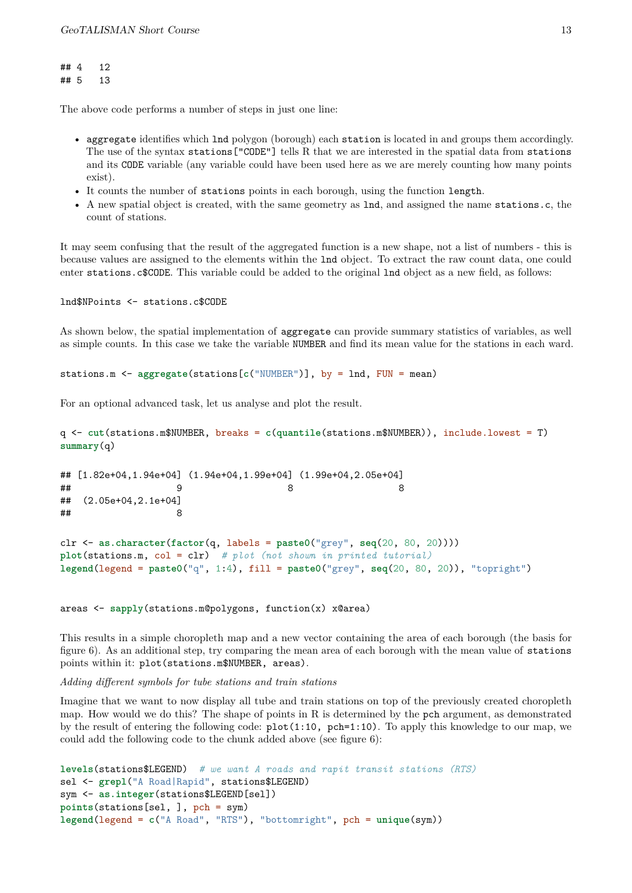## 4 12 ## 5 13

The above code performs a number of steps in just one line:

- aggregate identifies which lnd polygon (borough) each station is located in and groups them accordingly. The use of the syntax stations["CODE"] tells R that we are interested in the spatial data from stations and its CODE variable (any variable could have been used here as we are merely counting how many points exist).
- It counts the number of stations points in each borough, using the function length.
- A new spatial object is created, with the same geometry as lnd, and assigned the name stations.c, the count of stations.

It may seem confusing that the result of the aggregated function is a new shape, not a list of numbers - this is because values are assigned to the elements within the lnd object. To extract the raw count data, one could enter stations.c\$CODE. This variable could be added to the original lnd object as a new field, as follows:

lnd\$NPoints <- stations.c\$CODE

As shown below, the spatial implementation of aggregate can provide summary statistics of variables, as well as simple counts. In this case we take the variable NUMBER and find its mean value for the stations in each ward.

stations.m <- **aggregate**(stations[**c**("NUMBER")], by = lnd, FUN = mean)

For an optional advanced task, let us analyse and plot the result.

```
q <- cut(stations.m$NUMBER, breaks = c(quantile(stations.m$NUMBER)), include.lowest = T)
summary(q)
```

```
## [1.82e+04,1.94e+04] (1.94e+04,1.99e+04] (1.99e+04,2.05e+04]
## 9 8 8
## (2.05e+04,2.1e+04]
## 8
clr <- as.character(factor(q, labels = paste0("grey", seq(20, 80, 20))))
plot(stations.m, col = clr) # plot (not shown in printed tutorial)
legend(legend = paste0("q", 1:4), fill = paste0("grey", seq(20, 80, 20)), "topright")
```
areas <- **sapply**(stations.m@polygons, function(x) x@area)

This results in a simple choropleth map and a new vector containing the area of each borough (the basis for figure 6). As an additional step, try comparing the mean area of each borough with the mean value of stations points within it: plot(stations.m\$NUMBER, areas).

*Adding different symbols for tube stations and train stations*

Imagine that we want to now display all tube and train stations on top of the previously created choropleth map. How would we do this? The shape of points in R is determined by the pch argument, as demonstrated by the result of entering the following code:  $plot(1:10, pch=1:10)$ . To apply this knowledge to our map, we could add the following code to the chunk added above (see figure 6):

```
levels(stations$LEGEND) # we want A roads and rapit transit stations (RTS)
sel <- grepl("A Road|Rapid", stations$LEGEND)
sym <- as.integer(stations$LEGEND[sel])
points(stations[sel, ], pch = sym)
legend(legend = c("A Road", "RTS"), "bottomright", pch = unique(sym))
```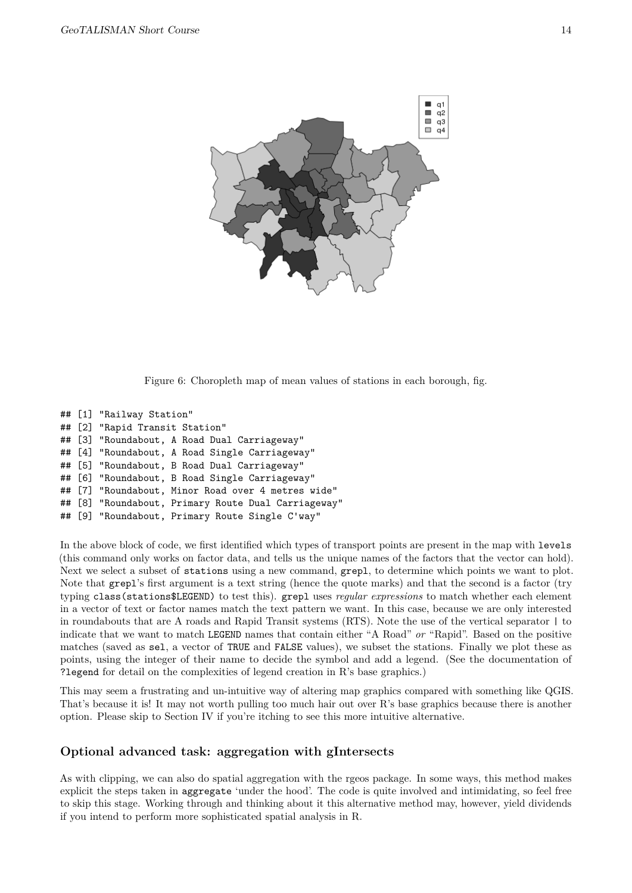

Figure 6: Choropleth map of mean values of stations in each borough, fig.

```
## [1] "Railway Station"
## [2] "Rapid Transit Station"
## [3] "Roundabout, A Road Dual Carriageway"
## [4] "Roundabout, A Road Single Carriageway"
## [5] "Roundabout, B Road Dual Carriageway"
## [6] "Roundabout, B Road Single Carriageway"
## [7] "Roundabout, Minor Road over 4 metres wide"
## [8] "Roundabout, Primary Route Dual Carriageway"
## [9] "Roundabout, Primary Route Single C'way"
```
In the above block of code, we first identified which types of transport points are present in the map with levels (this command only works on factor data, and tells us the unique names of the factors that the vector can hold). Next we select a subset of stations using a new command, grepl, to determine which points we want to plot. Note that grepl's first argument is a text string (hence the quote marks) and that the second is a factor (try typing class(stations\$LEGEND) to test this). grepl uses *regular expressions* to match whether each element in a vector of text or factor names match the text pattern we want. In this case, because we are only interested in roundabouts that are A roads and Rapid Transit systems (RTS). Note the use of the vertical separator | to indicate that we want to match LEGEND names that contain either "A Road" *or* "Rapid". Based on the positive matches (saved as sel, a vector of TRUE and FALSE values), we subset the stations. Finally we plot these as points, using the integer of their name to decide the symbol and add a legend. (See the documentation of ?legend for detail on the complexities of legend creation in R's base graphics.)

This may seem a frustrating and un-intuitive way of altering map graphics compared with something like QGIS. That's because it is! It may not worth pulling too much hair out over R's base graphics because there is another option. Please skip to Section IV if you're itching to see this more intuitive alternative.

## **Optional advanced task: aggregation with gIntersects**

<span id="page-13-0"></span>As with clipping, we can also do spatial aggregation with the rgeos package. In some ways, this method makes explicit the steps taken in aggregate 'under the hood'. The code is quite involved and intimidating, so feel free to skip this stage. Working through and thinking about it this alternative method may, however, yield dividends if you intend to perform more sophisticated spatial analysis in R.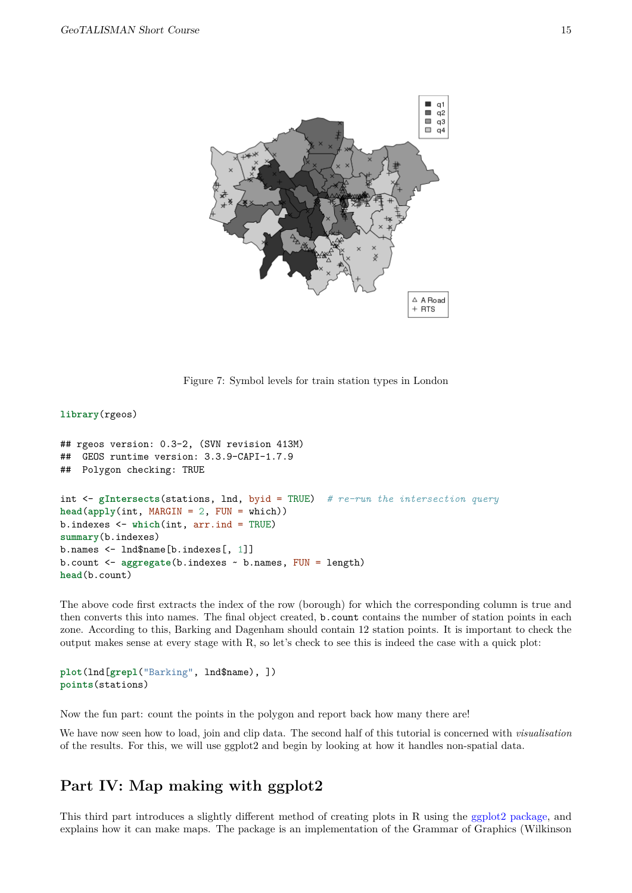

Figure 7: Symbol levels for train station types in London

#### **library**(rgeos)

```
## rgeos version: 0.3-2, (SVN revision 413M)
## GEOS runtime version: 3.3.9-CAPI-1.7.9
## Polygon checking: TRUE
int <- gIntersects(stations, lnd, byid = TRUE) # re-run the intersection query
head(apply(int, MARGIN = 2, FUN = which))
b.indexes <- which(int, arr.ind = TRUE)
summary(b.indexes)
b.names <- lnd$name[b.indexes[, 1]]
b.count <- aggregate(b.indexes ~ b.names, FUN = length)
head(b.count)
```
The above code first extracts the index of the row (borough) for which the corresponding column is true and then converts this into names. The final object created, b.count contains the number of station points in each zone. According to this, Barking and Dagenham should contain 12 station points. It is important to check the output makes sense at every stage with R, so let's check to see this is indeed the case with a quick plot:

```
plot(lnd[grepl("Barking", lnd$name), ])
points(stations)
```
Now the fun part: count the points in the polygon and report back how many there are!

We have now seen how to load, join and clip data. The second half of this tutorial is concerned with *visualisation* of the results. For this, we will use ggplot2 and begin by looking at how it handles non-spatial data.

# **Part IV: Map making with ggplot2**

<span id="page-14-0"></span>This third part introduces a slightly different method of creating plots in R using the [ggplot2 package,](http://ggplot2.org/) and explains how it can make maps. The package is an implementation of the Grammar of Graphics (Wilkinson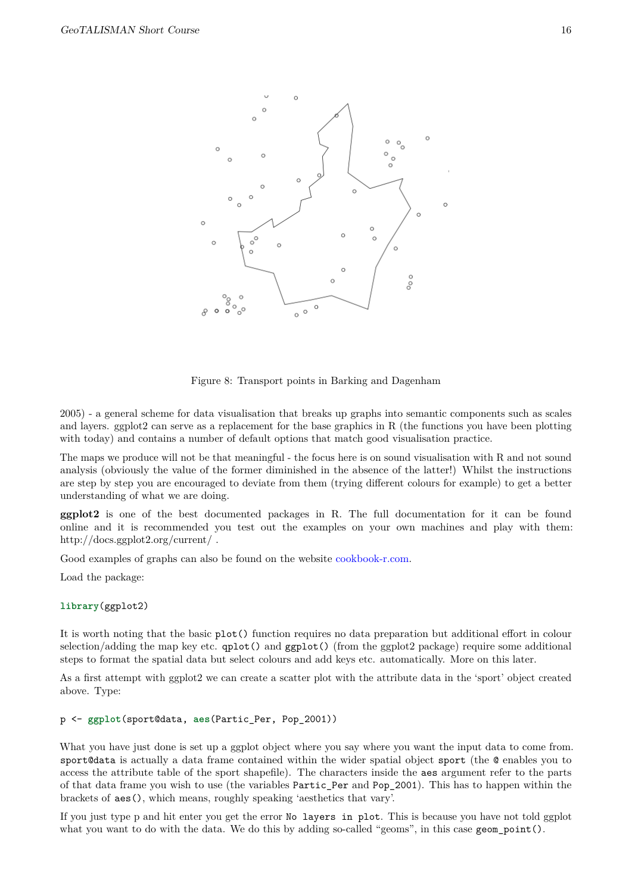



Figure 8: Transport points in Barking and Dagenham

2005) - a general scheme for data visualisation that breaks up graphs into semantic components such as scales and layers. ggplot2 can serve as a replacement for the base graphics in R (the functions you have been plotting with today) and contains a number of default options that match good visualisation practice.

The maps we produce will not be that meaningful - the focus here is on sound visualisation with R and not sound analysis (obviously the value of the former diminished in the absence of the latter!) Whilst the instructions are step by step you are encouraged to deviate from them (trying different colours for example) to get a better understanding of what we are doing.

**ggplot2** is one of the best documented packages in R. The full documentation for it can be found online and it is recommended you test out the examples on your own machines and play with them: http://docs.ggplot2.org/current/ .

Good examples of graphs can also be found on the website [cookbook-r.com.](http://www.cookbook-r.com/Graphs/)

Load the package:

#### **library**(ggplot2)

It is worth noting that the basic plot() function requires no data preparation but additional effort in colour selection/adding the map key etc.  $qplot()$  and  $qgplot()$  (from the ggplot2 package) require some additional steps to format the spatial data but select colours and add keys etc. automatically. More on this later.

As a first attempt with ggplot2 we can create a scatter plot with the attribute data in the 'sport' object created above. Type:

#### p <- **ggplot**(sport@data, **aes**(Partic\_Per, Pop\_2001))

What you have just done is set up a ggplot object where you say where you want the input data to come from. sport@data is actually a data frame contained within the wider spatial object sport (the @ enables you to access the attribute table of the sport shapefile). The characters inside the aes argument refer to the parts of that data frame you wish to use (the variables Partic\_Per and Pop\_2001). This has to happen within the brackets of aes(), which means, roughly speaking 'aesthetics that vary'.

If you just type p and hit enter you get the error No layers in plot. This is because you have not told ggplot what you want to do with the data. We do this by adding so-called "geoms", in this case geom\_point().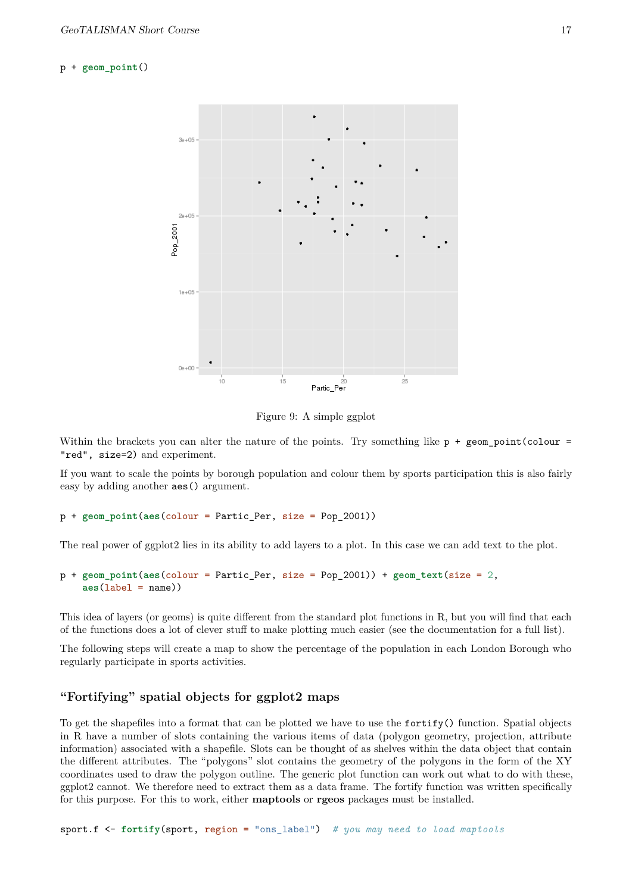#### p + **geom\_point**()



Figure 9: A simple ggplot

Within the brackets you can alter the nature of the points. Try something like  $p + \text{geom point}(\text{colour} =$ "red", size=2) and experiment.

If you want to scale the points by borough population and colour them by sports participation this is also fairly easy by adding another aes() argument.

p + **geom\_point**(**aes**(colour = Partic\_Per, size = Pop\_2001))

The real power of ggplot2 lies in its ability to add layers to a plot. In this case we can add text to the plot.

```
p + geom_point(aes(colour = Partic_Per, size = Pop_2001)) + geom_text(size = 2,
    aes(label = name))
```
This idea of layers (or geoms) is quite different from the standard plot functions in R, but you will find that each of the functions does a lot of clever stuff to make plotting much easier (see the documentation for a full list).

The following steps will create a map to show the percentage of the population in each London Borough who regularly participate in sports activities.

## **"Fortifying" spatial objects for ggplot2 maps**

<span id="page-16-0"></span>To get the shapefiles into a format that can be plotted we have to use the fortify() function. Spatial objects in R have a number of slots containing the various items of data (polygon geometry, projection, attribute information) associated with a shapefile. Slots can be thought of as shelves within the data object that contain the different attributes. The "polygons" slot contains the geometry of the polygons in the form of the XY coordinates used to draw the polygon outline. The generic plot function can work out what to do with these, ggplot2 cannot. We therefore need to extract them as a data frame. The fortify function was written specifically for this purpose. For this to work, either **maptools** or **rgeos** packages must be installed.

sport.f <- **fortify**(sport, region = "ons\_label") *# you may need to load maptools*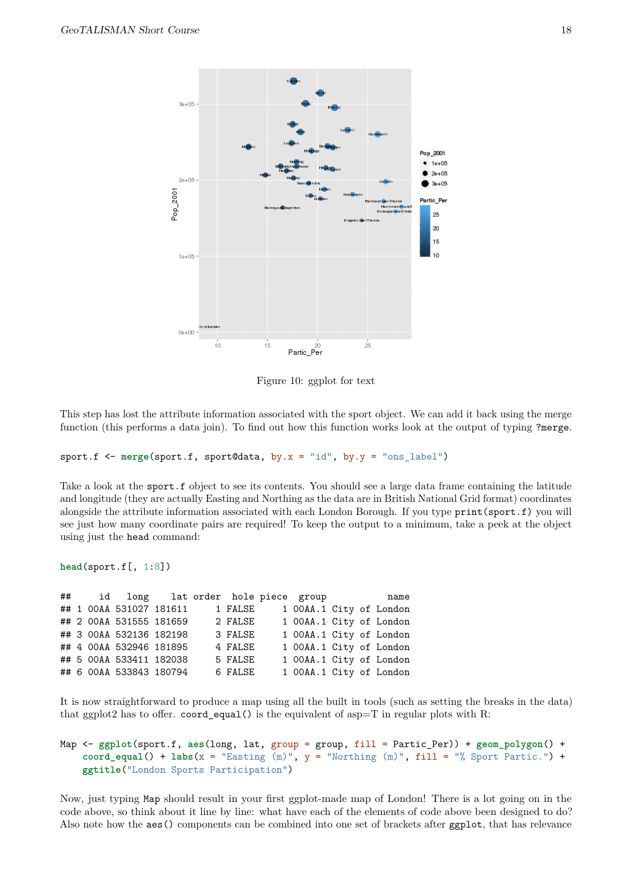

Figure 10: ggplot for text

This step has lost the attribute information associated with the sport object. We can add it back using the merge function (this performs a data join). To find out how this function works look at the output of typing ?merge.

sport.f <- **merge**(sport.f, sport@data, by.x = "id", by.y = "ons\_label")

Take a look at the sport. f object to see its contents. You should see a large data frame containing the latitude and longitude (they are actually Easting and Northing as the data are in British National Grid format) coordinates alongside the attribute information associated with each London Borough. If you type print(sport.f) you will see just how many coordinate pairs are required! To keep the output to a minimum, take a peek at the object using just the head command:

```
head(sport.f[, 1:8])
```
## id long lat order hole piece group name ## 1 00AA 531027 181611 1 FALSE 1 00AA.1 City of London ## 2 00AA 531555 181659 2 FALSE 1 00AA.1 City of London ## 3 00AA 532136 182198 3 FALSE 1 00AA.1 City of London ## 4 00AA 532946 181895 4 FALSE 1 00AA.1 City of London ## 5 00AA 533411 182038 5 FALSE 1 00AA.1 City of London ## 6 00AA 533843 180794 6 FALSE 1 00AA.1 City of London

It is now straightforward to produce a map using all the built in tools (such as setting the breaks in the data) that ggplot2 has to offer.  $coord$ -equal() is the equivalent of asp=T in regular plots with R:

```
Map <- ggplot(sport.f, aes(long, lat, group = group, fill = Partic_Per)) + geom_polygon() +
    coord_equal() + labs(x = "Easting (m)", y = "Northing (m)", fill = "% Sport Partic.") +
    ggtitle("London Sports Participation")
```
Now, just typing Map should result in your first ggplot-made map of London! There is a lot going on in the code above, so think about it line by line: what have each of the elements of code above been designed to do? Also note how the aes() components can be combined into one set of brackets after ggplot, that has relevance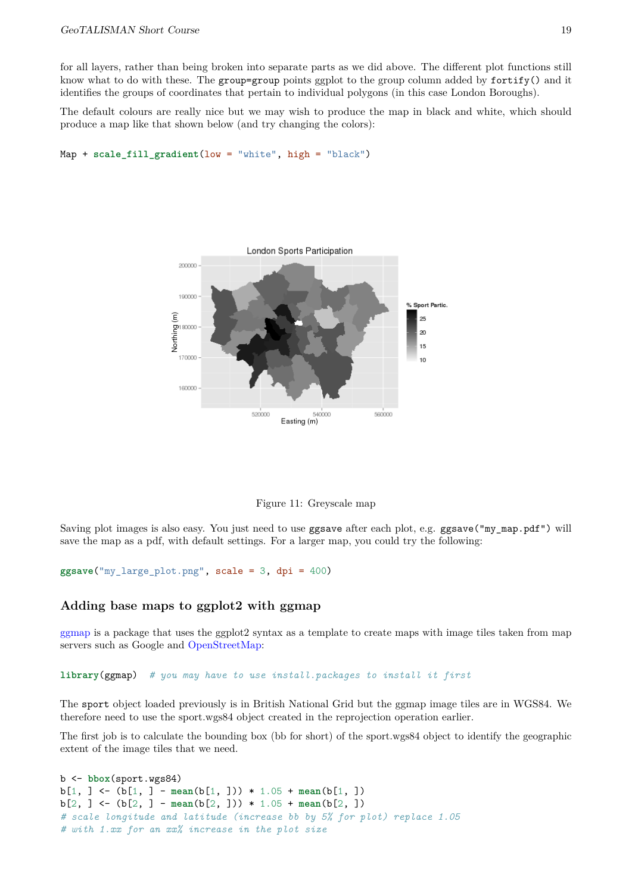for all layers, rather than being broken into separate parts as we did above. The different plot functions still know what to do with these. The group=group points ggplot to the group column added by fortify() and it identifies the groups of coordinates that pertain to individual polygons (in this case London Boroughs).

The default colours are really nice but we may wish to produce the map in black and white, which should produce a map like that shown below (and try changing the colors):

```
Map + scale_fill_gradient(low = "white", high = "black")
```


Figure 11: Greyscale map

Saving plot images is also easy. You just need to use ggsave after each plot, e.g. ggsave("my\_map.pdf") will save the map as a pdf, with default settings. For a larger map, you could try the following:

**ggsave**("my\_large\_plot.png", scale = 3, dpi = 400)

### **Adding base maps to ggplot2 with ggmap**

<span id="page-18-0"></span>[ggmap](http://journal.r-project.org/archive/2013-1/kahle-wickham.pdf) is a package that uses the ggplot2 syntax as a template to create maps with image tiles taken from map servers such as Google and [OpenStreetMap:](http://www.openstreetmap.org/)

**library**(ggmap) *# you may have to use install.packages to install it first*

The sport object loaded previously is in British National Grid but the ggmap image tiles are in WGS84. We therefore need to use the sport.wgs84 object created in the reprojection operation earlier.

The first job is to calculate the bounding box (bb for short) of the sport.wgs84 object to identify the geographic extent of the image tiles that we need.

```
b <- bbox(sport.wgs84)
b[1, ] <- (b[1, ] - mean(b[1, ])) * 1.05 + mean(b[1, ])
b[2, ] <- (b[2, ] - mean(b[2, ])) * 1.05 + mean(b[2, ])
# scale longitude and latitude (increase bb by 5% for plot) replace 1.05
# with 1.xx for an xx% increase in the plot size
```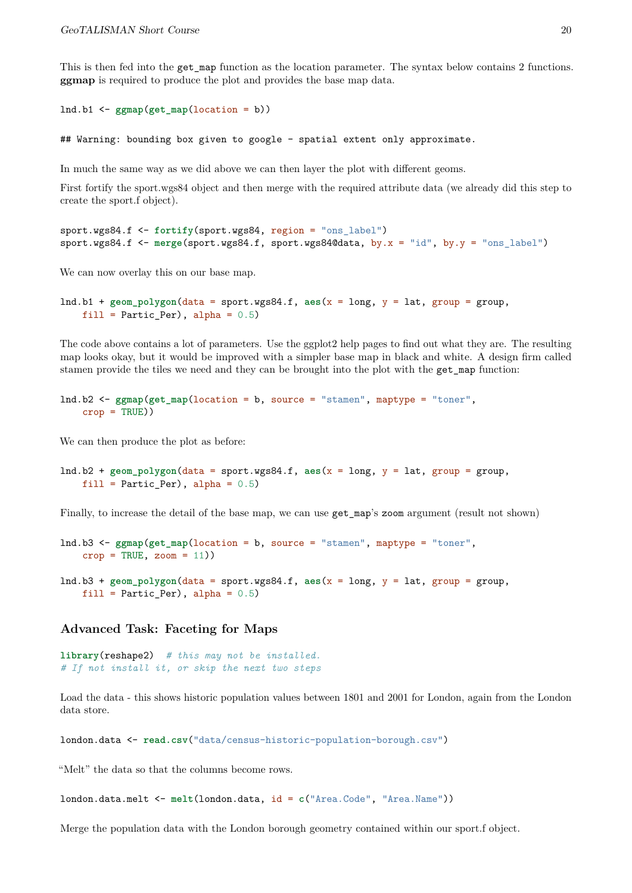This is then fed into the get\_map function as the location parameter. The syntax below contains 2 functions. **ggmap** is required to produce the plot and provides the base map data.

```
lnd.b1 <- ggmap(get_map(location = b))
```
## Warning: bounding box given to google - spatial extent only approximate.

In much the same way as we did above we can then layer the plot with different geoms.

First fortify the sport.wgs84 object and then merge with the required attribute data (we already did this step to create the sport.f object).

```
sport.wgs84.f <- fortify(sport.wgs84, region = "ons_label")
sport.wgs84.f <- merge(sport.wgs84.f, sport.wgs84@data, by.x = "id", by.y = "ons_label")
```
We can now overlay this on our base map.

```
lnd.b1 + geom_polygon(data = sport.wgs84.f, aes(x = long, y = lat, group = group,
    fill = Partic_Per, alpha = 0.5)
```
The code above contains a lot of parameters. Use the ggplot2 help pages to find out what they are. The resulting map looks okay, but it would be improved with a simpler base map in black and white. A design firm called stamen provide the tiles we need and they can be brought into the plot with the get\_map function:

```
lnd.b2 <- ggmap(get_map(location = b, source = "stamen", maptype = "toner",
    crop = TRUE))
```
We can then produce the plot as before:

```
lnd.b2 + geom_polygon(data = sport.wgs84.f, aes(x = long, y = lat, group = group,
    fill = Partic Per), alpha = 0.5)
```
Finally, to increase the detail of the base map, we can use get\_map's zoom argument (result not shown)

```
lnd.b3 <- ggmap(get_map(location = b, source = "stamen", maptype = "toner",
    crop = TRUE, zoom = 11)lnd.b3 + geom_polygon(data = sport.wgs84.f, aes(x = long, y = lat, group = group,
    fill = Partic_Per, alpha = 0.5)
```
**Advanced Task: Faceting for Maps**

```
library(reshape2) # this may not be installed.
# If not install it, or skip the next two steps
```
Load the data - this shows historic population values between 1801 and 2001 for London, again from the London data store.

london.data <- **read.csv**("data/census-historic-population-borough.csv")

"Melt" the data so that the columns become rows.

london.data.melt <- **melt**(london.data, id = **c**("Area.Code", "Area.Name"))

Merge the population data with the London borough geometry contained within our sport.f object.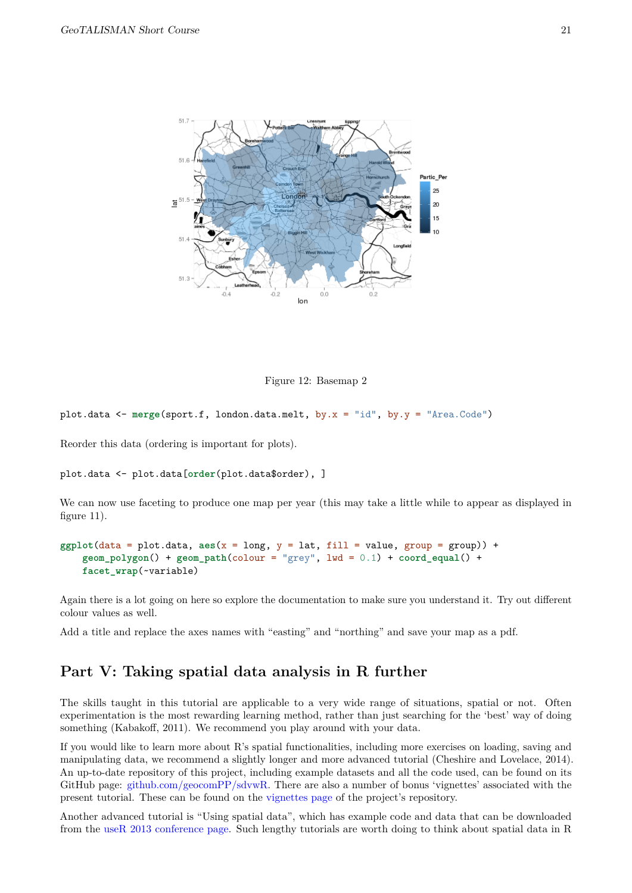



plot.data <- **merge**(sport.f, london.data.melt, by.x = "id", by.y = "Area.Code")

Reorder this data (ordering is important for plots).

```
plot.data <- plot.data[order(plot.data$order), ]
```
We can now use faceting to produce one map per year (this may take a little while to appear as displayed in figure 11).

```
ggplot(data = plot.data, aes(x = long, y = lat, fill = value, group = group)) +
    geom_polygon() + geom_path(colour = "grey", lwd = 0.1) + coord_equal() +
    facet_wrap(~variable)
```
Again there is a lot going on here so explore the documentation to make sure you understand it. Try out different colour values as well.

Add a title and replace the axes names with "easting" and "northing" and save your map as a pdf.

# **Part V: Taking spatial data analysis in R further**

<span id="page-20-0"></span>The skills taught in this tutorial are applicable to a very wide range of situations, spatial or not. Often experimentation is the most rewarding learning method, rather than just searching for the 'best' way of doing something (Kabakoff, 2011). We recommend you play around with your data.

If you would like to learn more about R's spatial functionalities, including more exercises on loading, saving and manipulating data, we recommend a slightly longer and more advanced tutorial (Cheshire and Lovelace, 2014). An up-to-date repository of this project, including example datasets and all the code used, can be found on its GitHub page: [github.com/geocomPP/sdvwR.](https://github.com/geocomPP/sdvwR) There are also a number of bonus 'vignettes' associated with the present tutorial. These can be found on the [vignettes page](https://github.com/Robinlovelace/Creating-maps-in-R/tree/master/vignettes) of the project's repository.

Another advanced tutorial is "Using spatial data", which has example code and data that can be downloaded from the [useR 2013 conference page.](http://www.edii.uclm.es/~useR-2013//Tutorials/Bivand.html) Such lengthy tutorials are worth doing to think about spatial data in R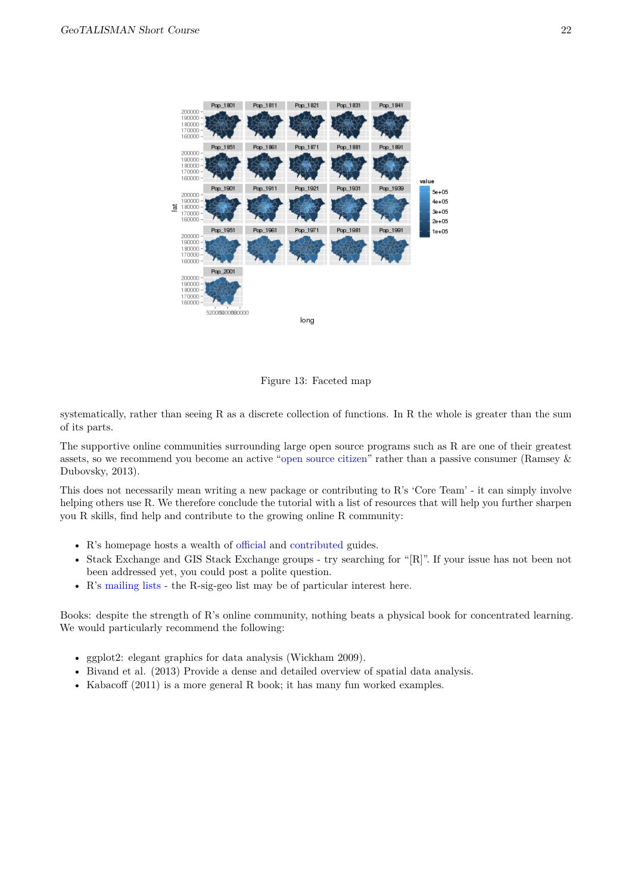

Figure 13: Faceted map

systematically, rather than seeing R as a discrete collection of functions. In R the whole is greater than the sum of its parts.

The supportive online communities surrounding large open source programs such as R are one of their greatest assets, so we recommend you become an active ["open source citizen"](http://blog.cleverelephant.ca/2013/10/being-open-source-citizen.html) rather than a passive consumer (Ramsey & Dubovsky, 2013).

This does not necessarily mean writing a new package or contributing to R's 'Core Team' - it can simply involve helping others use R. We therefore conclude the tutorial with a list of resources that will help you further sharpen you R skills, find help and contribute to the growing online R community:

- R's homepage hosts a wealth of [official](http://cran.r-project.org/manuals.html) and [contributed](http://cran.r-project.org/other-docs.html) guides.
- Stack Exchange and GIS Stack Exchange groups try searching for "[R]". If your issue has not been not been addressed yet, you could post a polite question.
- R's [mailing lists](http://www.r-project.org/mail.html) the R-sig-geo list may be of particular interest here.

Books: despite the strength of R's online community, nothing beats a physical book for concentrated learning. We would particularly recommend the following:

- ggplot2: elegant graphics for data analysis (Wickham 2009).
- Bivand et al. (2013) Provide a dense and detailed overview of spatial data analysis.
- Kabacoff (2011) is a more general R book; it has many fun worked examples.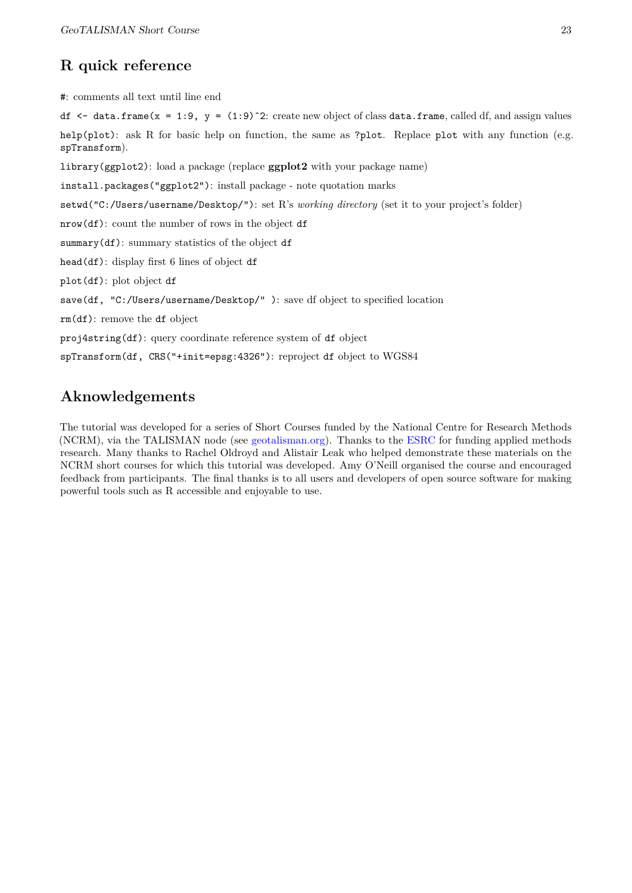# **R quick reference**

<span id="page-22-0"></span>#: comments all text until line end

df  $\leq$  data.frame(x = 1:9, y = (1:9)^2: create new object of class data.frame, called df, and assign values help(plot): ask R for basic help on function, the same as ?plot. Replace plot with any function (e.g. spTransform).

library(ggplot2): load a package (replace **ggplot2** with your package name)

install.packages("ggplot2"): install package - note quotation marks

setwd("C:/Users/username/Desktop/"): set R's *working directory* (set it to your project's folder)

nrow(df): count the number of rows in the object df

summary(df): summary statistics of the object df

head(df): display first 6 lines of object df

plot(df): plot object df

save(df, "C:/Users/username/Desktop/" ): save df object to specified location

rm(df): remove the df object

proj4string(df): query coordinate reference system of df object

spTransform(df, CRS("+init=epsg:4326"): reproject df object to WGS84

# **Aknowledgements**

<span id="page-22-1"></span>The tutorial was developed for a series of Short Courses funded by the National Centre for Research Methods (NCRM), via the TALISMAN node (see [geotalisman.org\)](http://www.geotalisman.org/). Thanks to the [ESRC](http://www.esrc.ac.uk/) for funding applied methods research. Many thanks to Rachel Oldroyd and Alistair Leak who helped demonstrate these materials on the NCRM short courses for which this tutorial was developed. Amy O'Neill organised the course and encouraged feedback from participants. The final thanks is to all users and developers of open source software for making powerful tools such as R accessible and enjoyable to use.